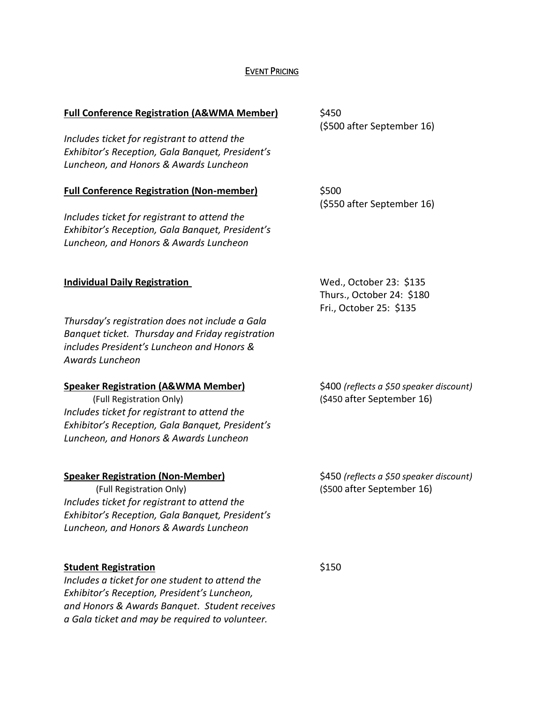# EVENT PRICING

# **Full Conference Registration (A&WMA Member)** \$450

(\$500 after September 16)

(\$550 after September 16)

*Includes ticket for registrant to attend the Exhibitor's Reception, Gala Banquet, President's Luncheon, and Honors & Awards Luncheon* 

### **Full Conference Registration (Non-member)** \$500

*Includes ticket for registrant to attend the Exhibitor's Reception, Gala Banquet, President's Luncheon, and Honors & Awards Luncheon* 

#### **Individual Daily Registration** Med., October 23: \$135

*Thursday's registration does not include a Gala Banquet ticket. Thursday and Friday registration includes President's Luncheon and Honors & Awards Luncheon*

### **Speaker Registration (A&WMA Member)** \$400 *(reflects a \$50 speaker discount)*

 (Full Registration Only) (\$450 after September 16) *Includes ticket for registrant to attend the Exhibitor's Reception, Gala Banquet, President's Luncheon, and Honors & Awards Luncheon* 

### **Speaker Registration (Non-Member)** \$450 *(reflects a \$50 speaker discount)*

(Full Registration Only) (\$500 after September 16) *Includes ticket for registrant to attend the Exhibitor's Reception, Gala Banquet, President's Luncheon, and Honors & Awards Luncheon* 

### **Student Registration**  $\frac{1}{2}$  \$150

*Includes a ticket for one student to attend the Exhibitor's Reception, President's Luncheon, and Honors & Awards Banquet. Student receives a Gala ticket and may be required to volunteer.*

Thurs., October 24: \$180 Fri., October 25: \$135